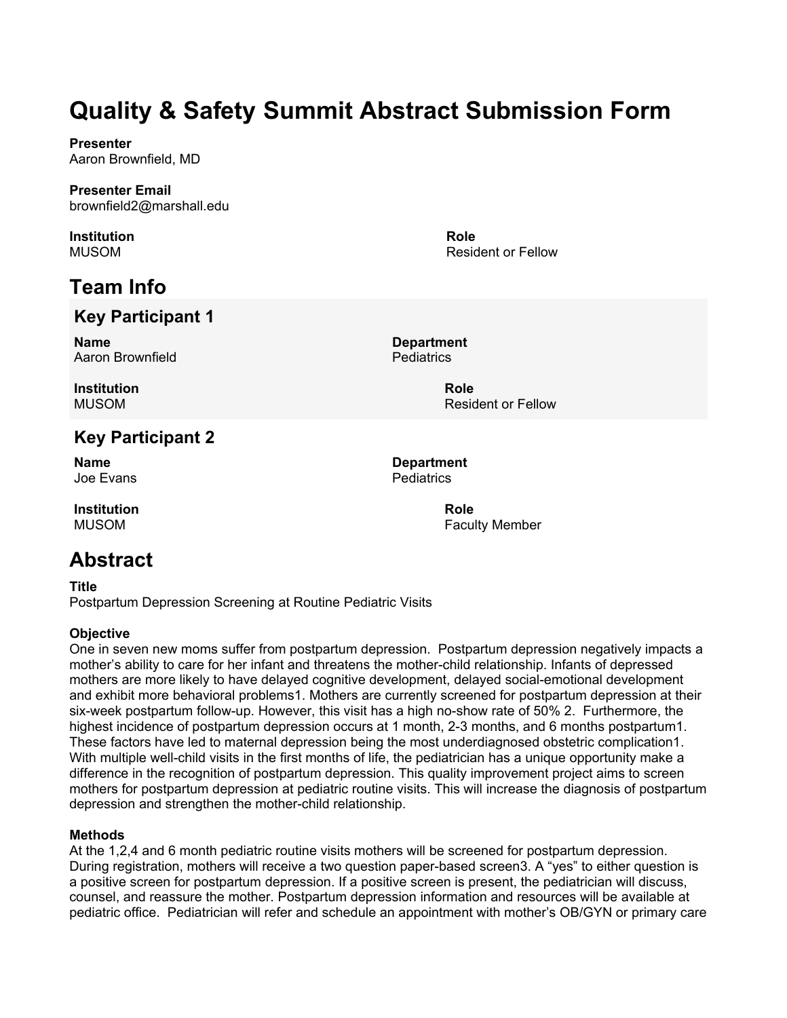**Presenter** Aaron Brownfield, MD

#### **Presenter Email** brownfield2@marshall.edu

**Institution** MUSOM

# **Team Info**

## **Key Participant 1**

**Name** Aaron Brownfield **Pediatrics** 

**Institution** MUSOM

## **Key Participant 2**

**Name** Joe Evans

**Institution** MUSOM

## **Abstract**

**Title**

Postpartum Depression Screening at Routine Pediatric Visits

#### **Objective**

One in seven new moms suffer from postpartum depression. Postpartum depression negatively impacts a mother's ability to care for her infant and threatens the mother-child relationship. Infants of depressed mothers are more likely to have delayed cognitive development, delayed social-emotional development and exhibit more behavioral problems1. Mothers are currently screened for postpartum depression at their six-week postpartum follow-up. However, this visit has a high no-show rate of 50% 2. Furthermore, the highest incidence of postpartum depression occurs at 1 month, 2-3 months, and 6 months postpartum1. These factors have led to maternal depression being the most underdiagnosed obstetric complication1. With multiple well-child visits in the first months of life, the pediatrician has a unique opportunity make a difference in the recognition of postpartum depression. This quality improvement project aims to screen mothers for postpartum depression at pediatric routine visits. This will increase the diagnosis of postpartum depression and strengthen the mother-child relationship.

#### **Methods**

At the 1,2,4 and 6 month pediatric routine visits mothers will be screened for postpartum depression. During registration, mothers will receive a two question paper-based screen3. A "yes" to either question is a positive screen for postpartum depression. If a positive screen is present, the pediatrician will discuss, counsel, and reassure the mother. Postpartum depression information and resources will be available at pediatric office. Pediatrician will refer and schedule an appointment with mother's OB/GYN or primary care

**Department**

**Role**

**Role** Resident or Fellow

Resident or Fellow

**Department Pediatrics**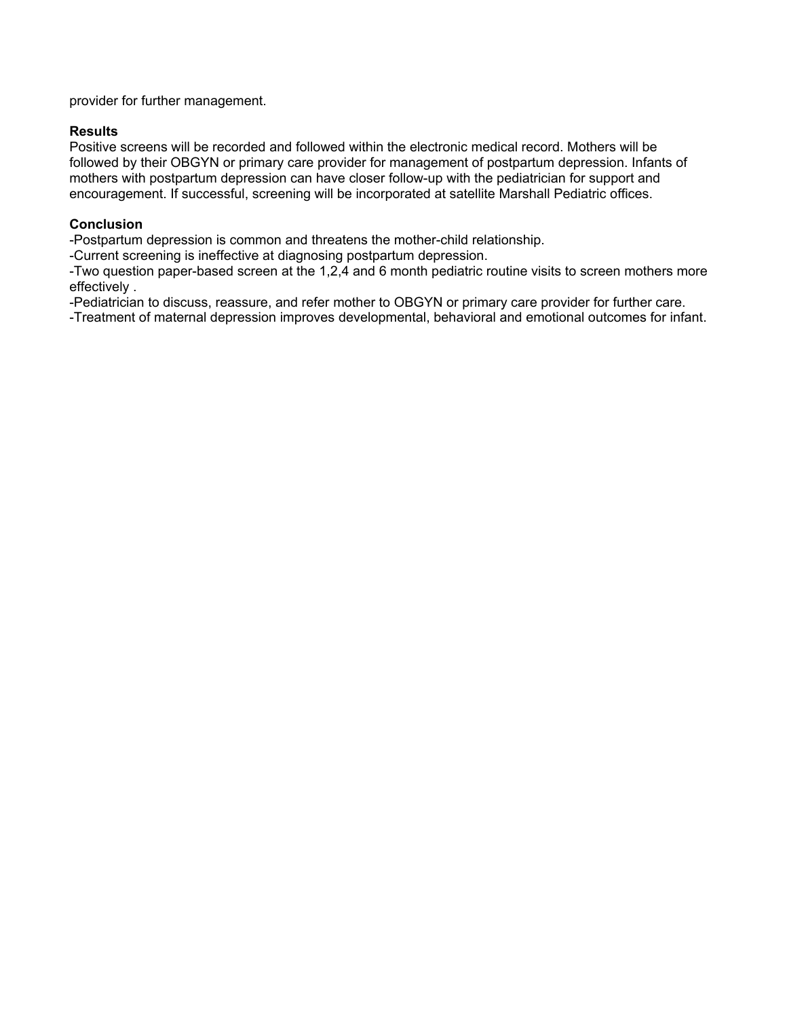provider for further management.

#### **Results**

Positive screens will be recorded and followed within the electronic medical record. Mothers will be followed by their OBGYN or primary care provider for management of postpartum depression. Infants of mothers with postpartum depression can have closer follow-up with the pediatrician for support and encouragement. If successful, screening will be incorporated at satellite Marshall Pediatric offices.

#### **Conclusion**

-Postpartum depression is common and threatens the mother-child relationship.

-Current screening is ineffective at diagnosing postpartum depression.

-Two question paper-based screen at the 1,2,4 and 6 month pediatric routine visits to screen mothers more effectively .

-Pediatrician to discuss, reassure, and refer mother to OBGYN or primary care provider for further care.

-Treatment of maternal depression improves developmental, behavioral and emotional outcomes for infant.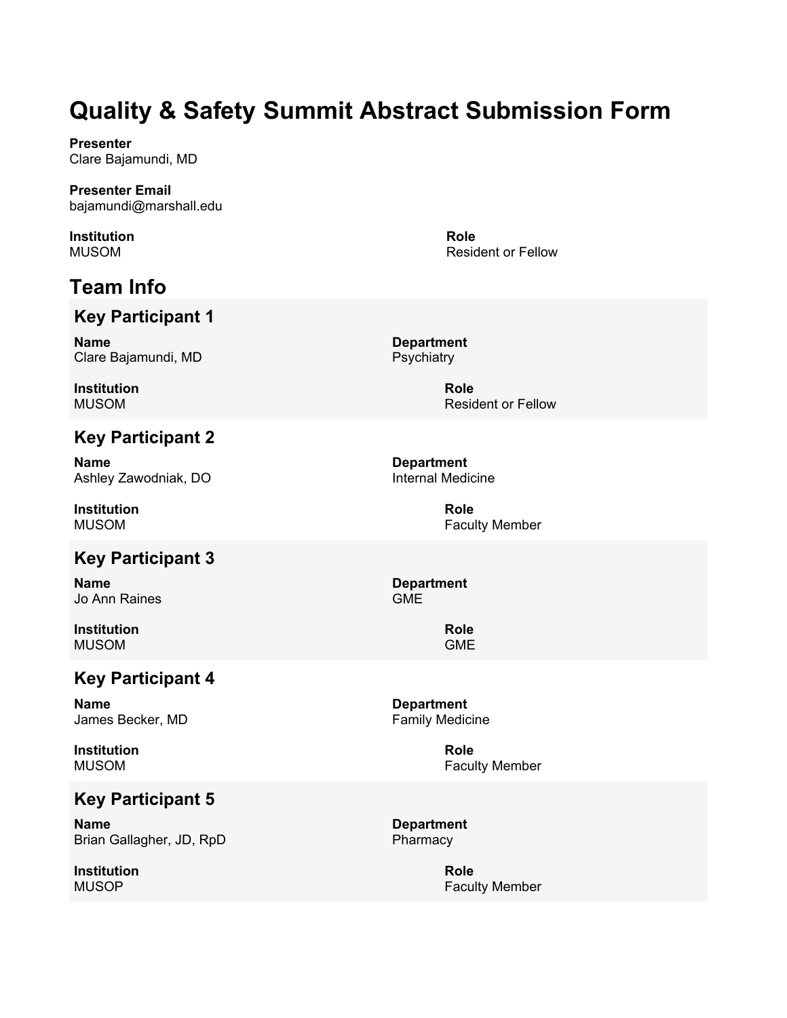**Presenter** Clare Bajamundi, MD

**Presenter Email** bajamundi@marshall.edu

**Institution** MUSOM

# **Team Info**

### **Key Participant 1**

**Name** Clare Bajamundi, MD

**Institution** MUSOM

## **Key Participant 2**

**Name** Ashley Zawodniak, DO

**Institution** MUSOM

## **Key Participant 3**

**Name** Jo Ann Raines

**Institution** MUSOM

### **Key Participant 4**

**Name** James Becker, MD

**Institution** MUSOM

### **Key Participant 5**

**Name** Brian Gallagher, JD, RpD

**Institution** MUSOP

**Role** Resident or Fellow

**Department Psychiatry** 

> **Role** Resident or Fellow

**Department** Internal Medicine

> **Role** Faculty Member

**Department** GME

> **Role** GME

**Department** Family Medicine

> **Role** Faculty Member

**Department** Pharmacy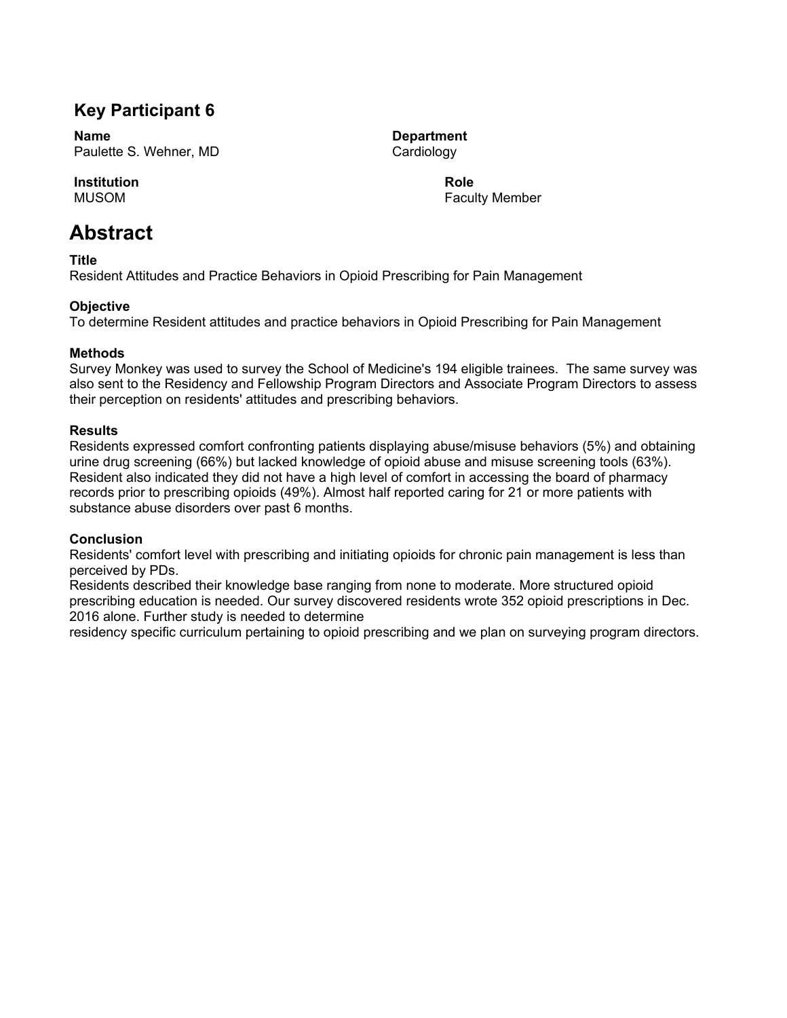## **Key Participant 6**

**Name** Paulette S. Wehner, MD

#### **Institution**

MUSOM

## **Abstract**

**Title**

Resident Attitudes and Practice Behaviors in Opioid Prescribing for Pain Management

#### **Objective**

To determine Resident attitudes and practice behaviors in Opioid Prescribing for Pain Management

#### **Methods**

Survey Monkey was used to survey the School of Medicine's 194 eligible trainees. The same survey was also sent to the Residency and Fellowship Program Directors and Associate Program Directors to assess their perception on residents' attitudes and prescribing behaviors.

#### **Results**

Residents expressed comfort confronting patients displaying abuse/misuse behaviors (5%) and obtaining urine drug screening (66%) but lacked knowledge of opioid abuse and misuse screening tools (63%). Resident also indicated they did not have a high level of comfort in accessing the board of pharmacy records prior to prescribing opioids (49%). Almost half reported caring for 21 or more patients with substance abuse disorders over past 6 months.

#### **Conclusion**

Residents' comfort level with prescribing and initiating opioids for chronic pain management is less than perceived by PDs.

Residents described their knowledge base ranging from none to moderate. More structured opioid prescribing education is needed. Our survey discovered residents wrote 352 opioid prescriptions in Dec. 2016 alone. Further study is needed to determine

residency specific curriculum pertaining to opioid prescribing and we plan on surveying program directors.

**Department** Cardiology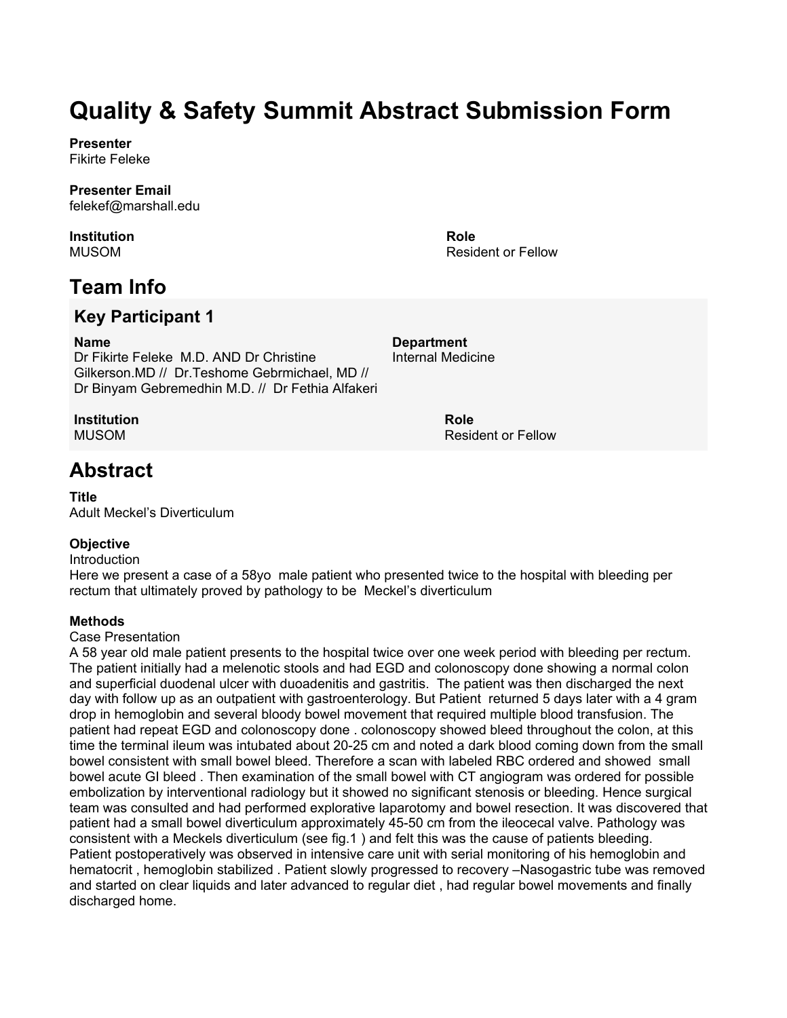**Presenter** Fikirte Feleke

**Presenter Email** felekef@marshall.edu

**Institution** MUSOM

**Role** Resident or Fellow

## **Team Info**

## **Key Participant 1**

**Name**

Dr Fikirte Feleke M.D. AND Dr Christine Gilkerson.MD // Dr.Teshome Gebrmichael, MD // Dr Binyam Gebremedhin M.D. // Dr Fethia Alfakeri

**Institution**

MUSOM

## **Abstract**

#### **Title**

Adult Meckel's Diverticulum

#### **Objective**

Introduction

Here we present a case of a 58yo male patient who presented twice to the hospital with bleeding per rectum that ultimately proved by pathology to be Meckel's diverticulum

#### **Methods**

#### Case Presentation

A 58 year old male patient presents to the hospital twice over one week period with bleeding per rectum. The patient initially had a melenotic stools and had EGD and colonoscopy done showing a normal colon and superficial duodenal ulcer with duoadenitis and gastritis. The patient was then discharged the next day with follow up as an outpatient with gastroenterology. But Patient returned 5 days later with a 4 gram drop in hemoglobin and several bloody bowel movement that required multiple blood transfusion. The patient had repeat EGD and colonoscopy done . colonoscopy showed bleed throughout the colon, at this time the terminal ileum was intubated about 20-25 cm and noted a dark blood coming down from the small bowel consistent with small bowel bleed. Therefore a scan with labeled RBC ordered and showed small bowel acute GI bleed . Then examination of the small bowel with CT angiogram was ordered for possible embolization by interventional radiology but it showed no significant stenosis or bleeding. Hence surgical team was consulted and had performed explorative laparotomy and bowel resection. It was discovered that patient had a small bowel diverticulum approximately 45-50 cm from the ileocecal valve. Pathology was consistent with a Meckels diverticulum (see fig.1 ) and felt this was the cause of patients bleeding. Patient postoperatively was observed in intensive care unit with serial monitoring of his hemoglobin and hematocrit , hemoglobin stabilized . Patient slowly progressed to recovery –Nasogastric tube was removed and started on clear liquids and later advanced to regular diet , had regular bowel movements and finally discharged home.

Internal Medicine

**Department**

**Role** Resident or Fellow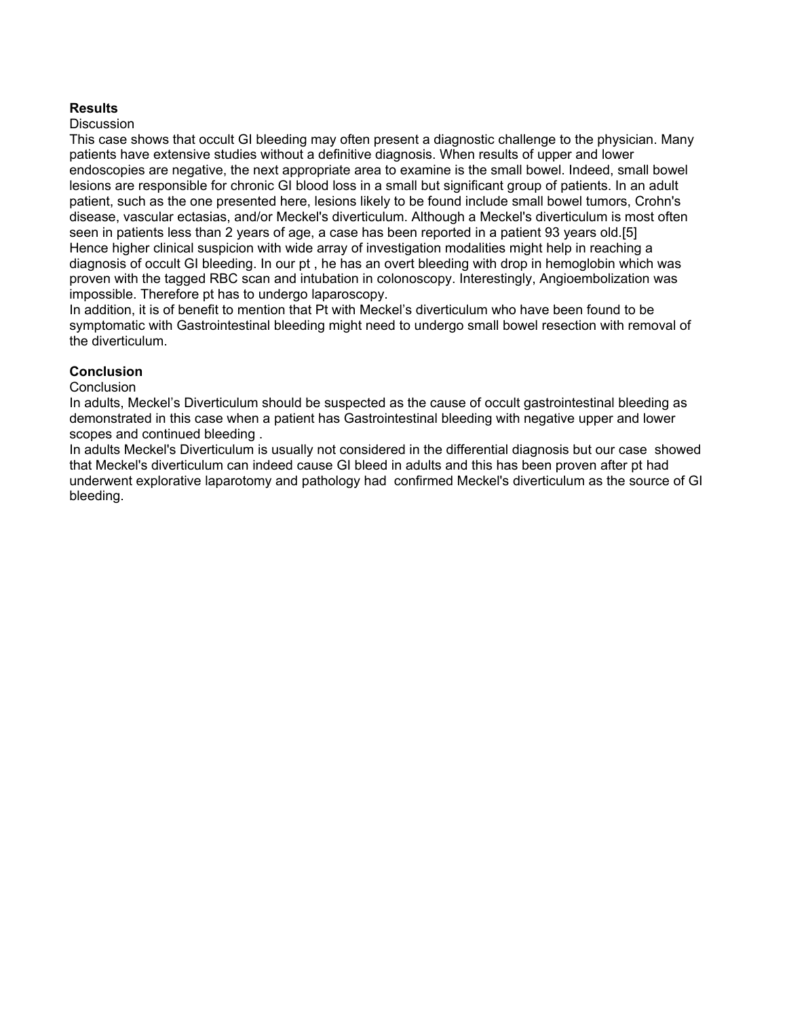#### **Results**

#### **Discussion**

This case shows that occult GI bleeding may often present a diagnostic challenge to the physician. Many patients have extensive studies without a definitive diagnosis. When results of upper and lower endoscopies are negative, the next appropriate area to examine is the small bowel. Indeed, small bowel lesions are responsible for chronic GI blood loss in a small but significant group of patients. In an adult patient, such as the one presented here, lesions likely to be found include small bowel tumors, Crohn's disease, vascular ectasias, and/or Meckel's diverticulum. Although a Meckel's diverticulum is most often seen in patients less than 2 years of age, a case has been reported in a patient 93 years old.[5] Hence higher clinical suspicion with wide array of investigation modalities might help in reaching a diagnosis of occult GI bleeding. In our pt , he has an overt bleeding with drop in hemoglobin which was proven with the tagged RBC scan and intubation in colonoscopy. Interestingly, Angioembolization was impossible. Therefore pt has to undergo laparoscopy.

In addition, it is of benefit to mention that Pt with Meckel's diverticulum who have been found to be symptomatic with Gastrointestinal bleeding might need to undergo small bowel resection with removal of the diverticulum.

#### **Conclusion**

#### **Conclusion**

In adults, Meckel's Diverticulum should be suspected as the cause of occult gastrointestinal bleeding as demonstrated in this case when a patient has Gastrointestinal bleeding with negative upper and lower scopes and continued bleeding .

In adults Meckel's Diverticulum is usually not considered in the differential diagnosis but our case showed that Meckel's diverticulum can indeed cause GI bleed in adults and this has been proven after pt had underwent explorative laparotomy and pathology had confirmed Meckel's diverticulum as the source of GI bleeding.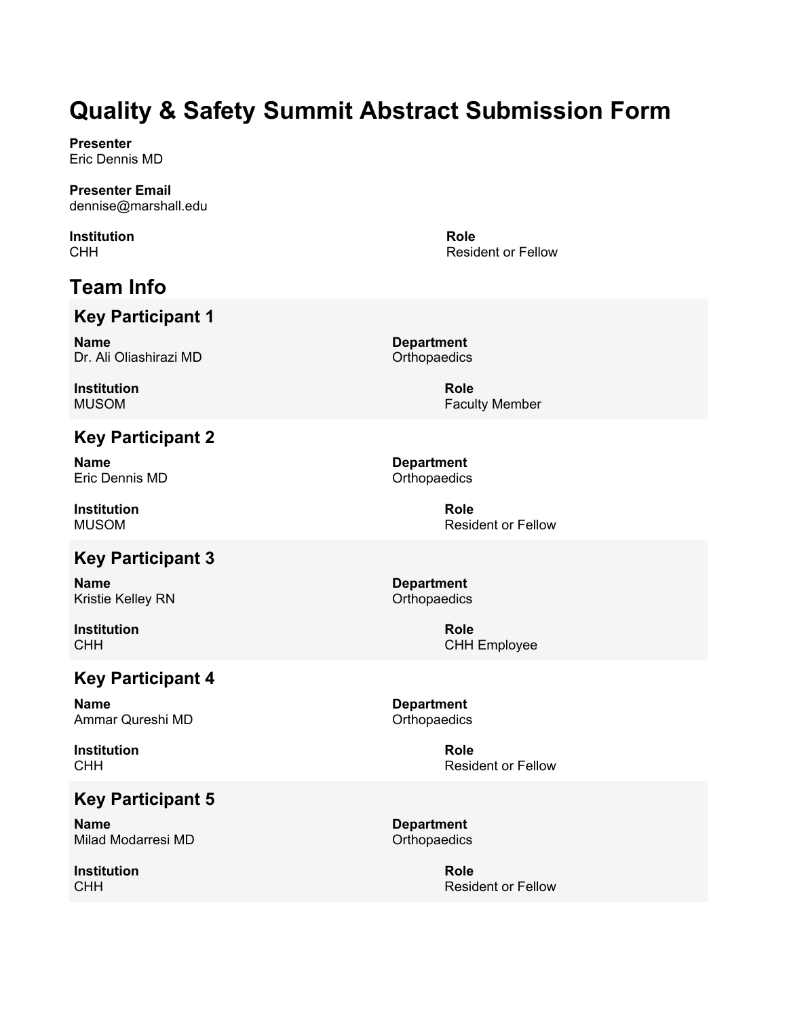**Presenter** Eric Dennis MD

**Presenter Email** dennise@marshall.edu

**Institution CHH** 

# **Team Info**

## **Key Participant 1**

**Name** Dr. Ali Oliashirazi MD

**Institution** MUSOM

## **Key Participant 2**

**Name** Eric Dennis MD

**Institution** MUSOM

## **Key Participant 3**

**Name** Kristie Kelley RN

**Institution** CHH

## **Key Participant 4**

**Name** Ammar Qureshi MD

**Institution CHH** 

## **Key Participant 5**

**Name** Milad Modarresi MD

**Institution** CHH

Resident or Fellow

**Role**

**Department Orthopaedics** 

> **Role** Faculty Member

**Department Orthopaedics** 

> **Role** Resident or Fellow

**Department Orthopaedics** 

> **Role** CHH Employee

**Department Orthopaedics** 

> **Role** Resident or Fellow

**Department Orthopaedics** 

> **Role** Resident or Fellow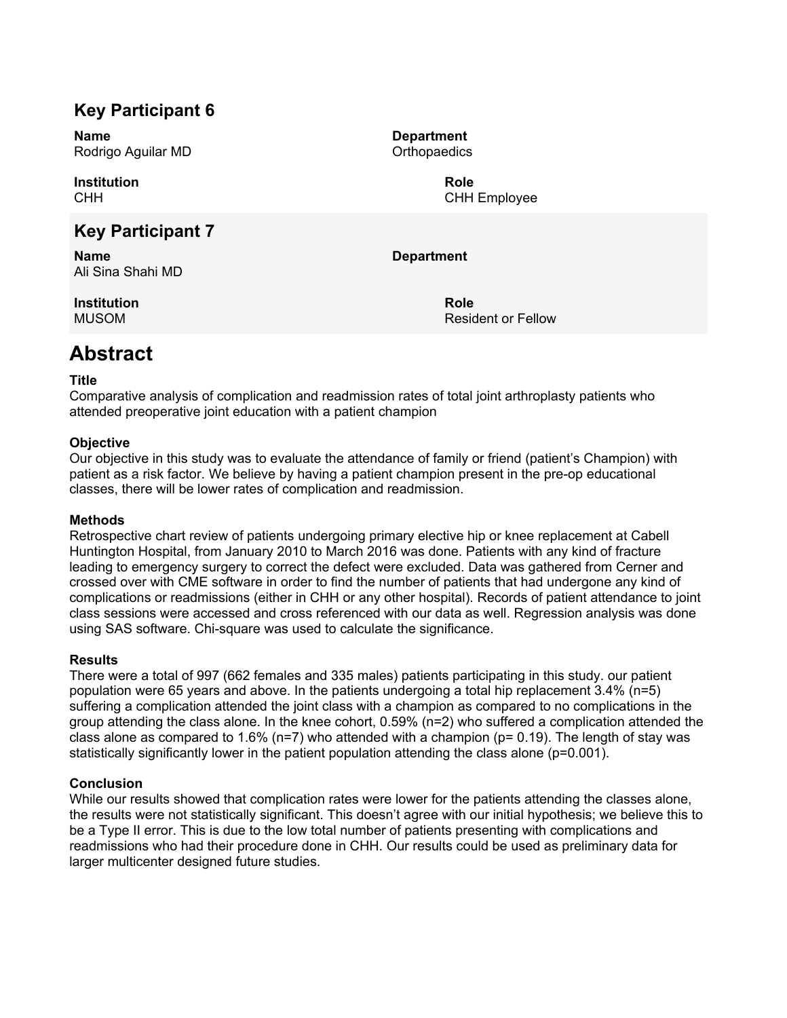## **Key Participant 6**

**Name** Rodrigo Aguilar MD

**Institution CHH** 

## **Key Participant 7**

**Name** Ali Sina Shahi MD

**Institution** MUSOM

**Department Orthopaedics** 

> **Role** CHH Employee

**Department**

**Role** Resident or Fellow

# **Abstract**

#### **Title**

Comparative analysis of complication and readmission rates of total joint arthroplasty patients who attended preoperative joint education with a patient champion

#### **Objective**

Our objective in this study was to evaluate the attendance of family or friend (patient's Champion) with patient as a risk factor. We believe by having a patient champion present in the pre-op educational classes, there will be lower rates of complication and readmission.

#### **Methods**

Retrospective chart review of patients undergoing primary elective hip or knee replacement at Cabell Huntington Hospital, from January 2010 to March 2016 was done. Patients with any kind of fracture leading to emergency surgery to correct the defect were excluded. Data was gathered from Cerner and crossed over with CME software in order to find the number of patients that had undergone any kind of complications or readmissions (either in CHH or any other hospital). Records of patient attendance to joint class sessions were accessed and cross referenced with our data as well. Regression analysis was done using SAS software. Chi-square was used to calculate the significance.

#### **Results**

There were a total of 997 (662 females and 335 males) patients participating in this study. our patient population were 65 years and above. In the patients undergoing a total hip replacement 3.4% (n=5) suffering a complication attended the joint class with a champion as compared to no complications in the group attending the class alone. In the knee cohort, 0.59% (n=2) who suffered a complication attended the class alone as compared to 1.6% ( $n=7$ ) who attended with a champion ( $p= 0.19$ ). The length of stay was statistically significantly lower in the patient population attending the class alone (p=0.001).

#### **Conclusion**

While our results showed that complication rates were lower for the patients attending the classes alone, the results were not statistically significant. This doesn't agree with our initial hypothesis; we believe this to be a Type II error. This is due to the low total number of patients presenting with complications and readmissions who had their procedure done in CHH. Our results could be used as preliminary data for larger multicenter designed future studies.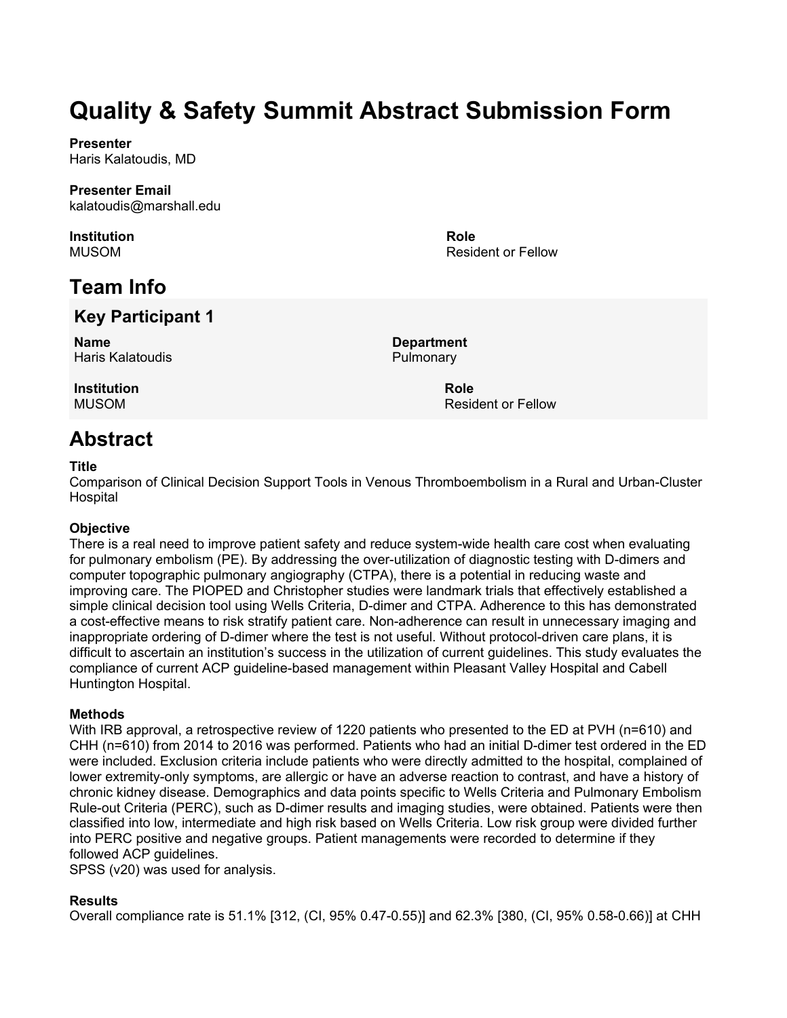**Presenter** Haris Kalatoudis, MD

# **Presenter Email**

kalatoudis@marshall.edu

**Institution** MUSOM

# **Team Info**

## **Key Participant 1**

**Name** Haris Kalatoudis **Department Pulmonary** 

**Role**

**Role**

Resident or Fellow

Resident or Fellow

**Institution** MUSOM

## **Abstract**

#### **Title**

Comparison of Clinical Decision Support Tools in Venous Thromboembolism in a Rural and Urban-Cluster **Hospital** 

#### **Objective**

There is a real need to improve patient safety and reduce system-wide health care cost when evaluating for pulmonary embolism (PE). By addressing the over-utilization of diagnostic testing with D-dimers and computer topographic pulmonary angiography (CTPA), there is a potential in reducing waste and improving care. The PIOPED and Christopher studies were landmark trials that effectively established a simple clinical decision tool using Wells Criteria, D-dimer and CTPA. Adherence to this has demonstrated a cost-effective means to risk stratify patient care. Non-adherence can result in unnecessary imaging and inappropriate ordering of D-dimer where the test is not useful. Without protocol-driven care plans, it is difficult to ascertain an institution's success in the utilization of current guidelines. This study evaluates the compliance of current ACP guideline-based management within Pleasant Valley Hospital and Cabell Huntington Hospital.

#### **Methods**

With IRB approval, a retrospective review of 1220 patients who presented to the ED at PVH (n=610) and CHH (n=610) from 2014 to 2016 was performed. Patients who had an initial D-dimer test ordered in the ED were included. Exclusion criteria include patients who were directly admitted to the hospital, complained of lower extremity-only symptoms, are allergic or have an adverse reaction to contrast, and have a history of chronic kidney disease. Demographics and data points specific to Wells Criteria and Pulmonary Embolism Rule-out Criteria (PERC), such as D-dimer results and imaging studies, were obtained. Patients were then classified into low, intermediate and high risk based on Wells Criteria. Low risk group were divided further into PERC positive and negative groups. Patient managements were recorded to determine if they followed ACP guidelines.

SPSS (v20) was used for analysis.

#### **Results**

Overall compliance rate is 51.1% [312, (CI, 95% 0.47-0.55)] and 62.3% [380, (CI, 95% 0.58-0.66)] at CHH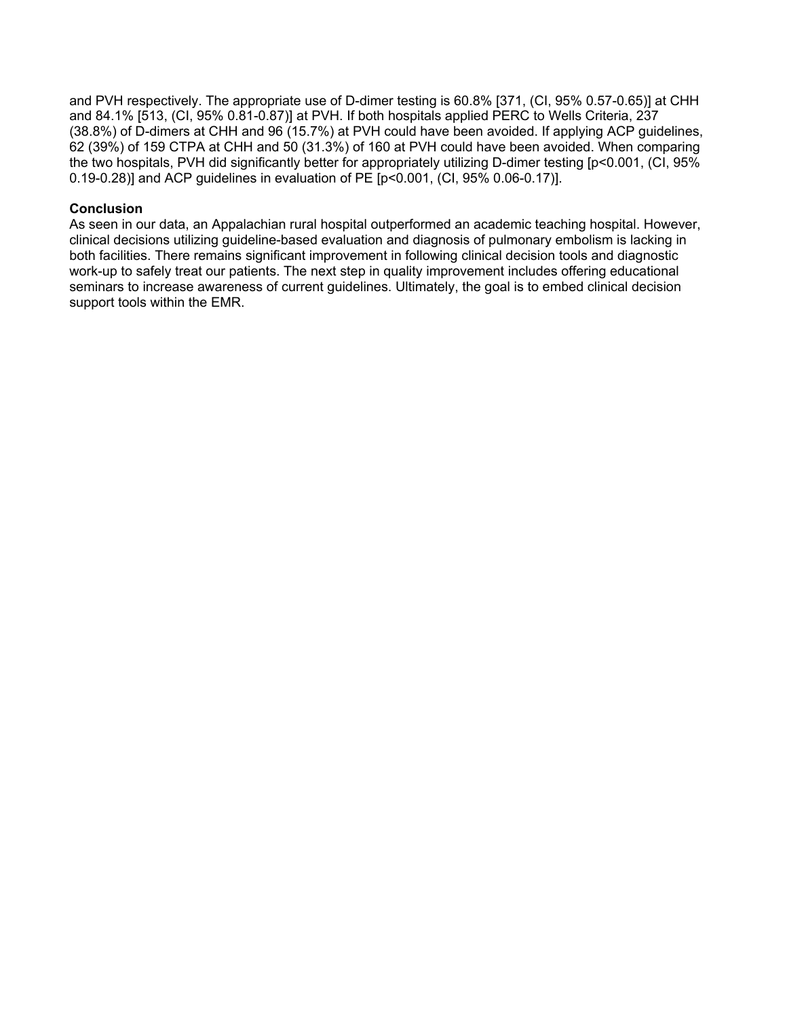and PVH respectively. The appropriate use of D-dimer testing is 60.8% [371, (CI, 95% 0.57-0.65)] at CHH and 84.1% [513, (CI, 95% 0.81-0.87)] at PVH. If both hospitals applied PERC to Wells Criteria, 237 (38.8%) of D-dimers at CHH and 96 (15.7%) at PVH could have been avoided. If applying ACP guidelines, 62 (39%) of 159 CTPA at CHH and 50 (31.3%) of 160 at PVH could have been avoided. When comparing the two hospitals, PVH did significantly better for appropriately utilizing D-dimer testing [p<0.001, (CI, 95% 0.19-0.28)] and ACP guidelines in evaluation of PE [p<0.001, (CI, 95% 0.06-0.17)].

#### **Conclusion**

As seen in our data, an Appalachian rural hospital outperformed an academic teaching hospital. However, clinical decisions utilizing guideline-based evaluation and diagnosis of pulmonary embolism is lacking in both facilities. There remains significant improvement in following clinical decision tools and diagnostic work-up to safely treat our patients. The next step in quality improvement includes offering educational seminars to increase awareness of current guidelines. Ultimately, the goal is to embed clinical decision support tools within the EMR.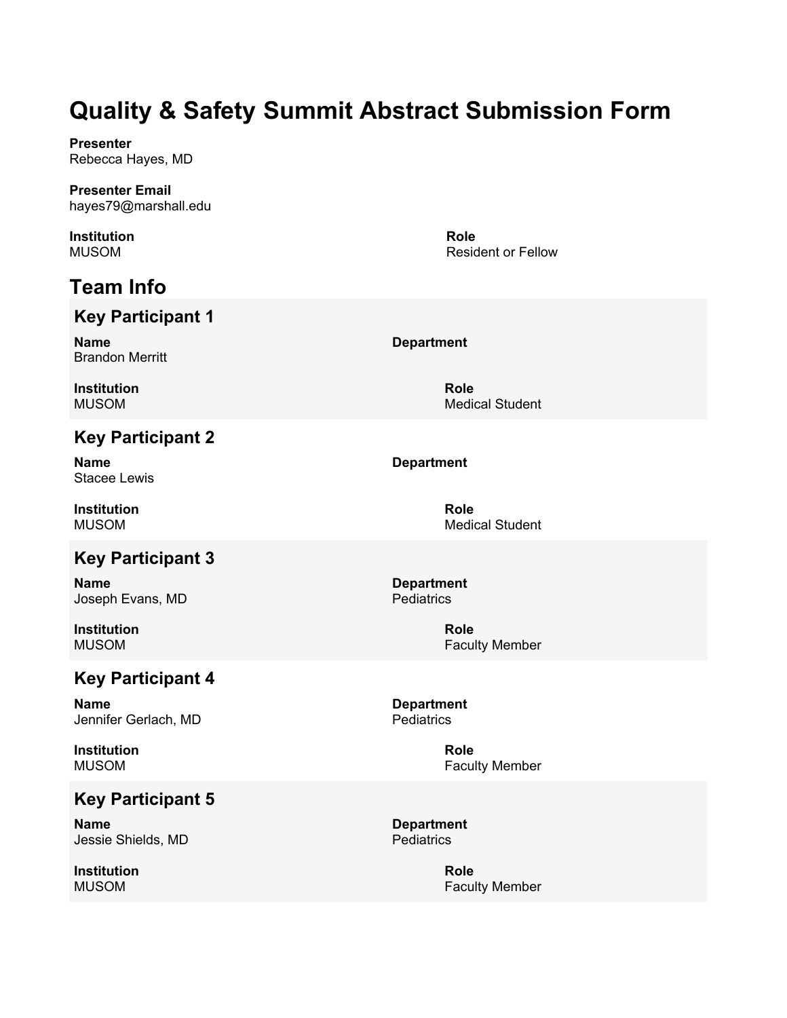**Presenter** Rebecca Hayes, MD

**Presenter Email** hayes79@marshall.edu

**Institution** MUSOM

# **Team Info**

## **Key Participant 1**

**Name** Brandon Merritt

**Institution** MUSOM

## **Key Participant 2**

**Name** Stacee Lewis

**Institution** MUSOM

## **Key Participant 3**

**Name** Joseph Evans, MD

**Institution** MUSOM

## **Key Participant 4**

**Name** Jennifer Gerlach, MD

**Institution** MUSOM

## **Key Participant 5**

**Name** Jessie Shields, MD

**Institution** MUSOM

**Role** Resident or Fellow

**Department**

**Role** Medical Student

#### **Department**

**Role** Medical Student

**Department Pediatrics** 

> **Role** Faculty Member

**Department Pediatrics** 

> **Role** Faculty Member

**Department Pediatrics**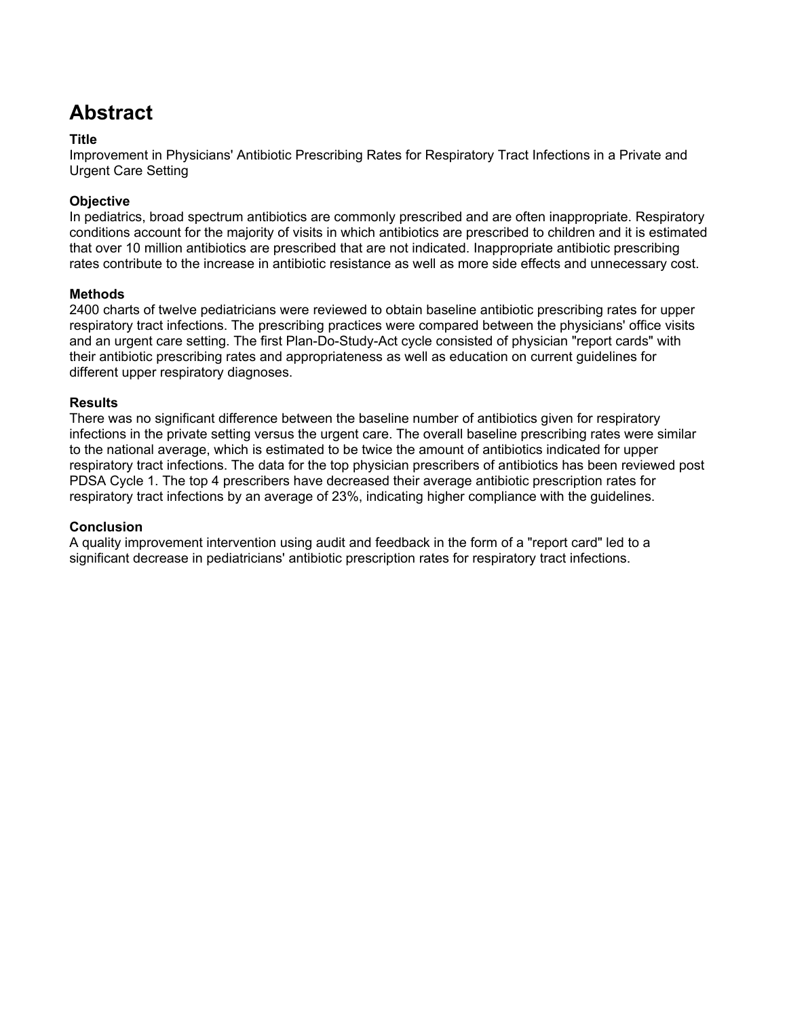# **Abstract**

#### **Title**

Improvement in Physicians' Antibiotic Prescribing Rates for Respiratory Tract Infections in a Private and Urgent Care Setting

#### **Objective**

In pediatrics, broad spectrum antibiotics are commonly prescribed and are often inappropriate. Respiratory conditions account for the majority of visits in which antibiotics are prescribed to children and it is estimated that over 10 million antibiotics are prescribed that are not indicated. Inappropriate antibiotic prescribing rates contribute to the increase in antibiotic resistance as well as more side effects and unnecessary cost.

#### **Methods**

2400 charts of twelve pediatricians were reviewed to obtain baseline antibiotic prescribing rates for upper respiratory tract infections. The prescribing practices were compared between the physicians' office visits and an urgent care setting. The first Plan-Do-Study-Act cycle consisted of physician "report cards" with their antibiotic prescribing rates and appropriateness as well as education on current guidelines for different upper respiratory diagnoses.

#### **Results**

There was no significant difference between the baseline number of antibiotics given for respiratory infections in the private setting versus the urgent care. The overall baseline prescribing rates were similar to the national average, which is estimated to be twice the amount of antibiotics indicated for upper respiratory tract infections. The data for the top physician prescribers of antibiotics has been reviewed post PDSA Cycle 1. The top 4 prescribers have decreased their average antibiotic prescription rates for respiratory tract infections by an average of 23%, indicating higher compliance with the guidelines.

#### **Conclusion**

A quality improvement intervention using audit and feedback in the form of a "report card" led to a significant decrease in pediatricians' antibiotic prescription rates for respiratory tract infections.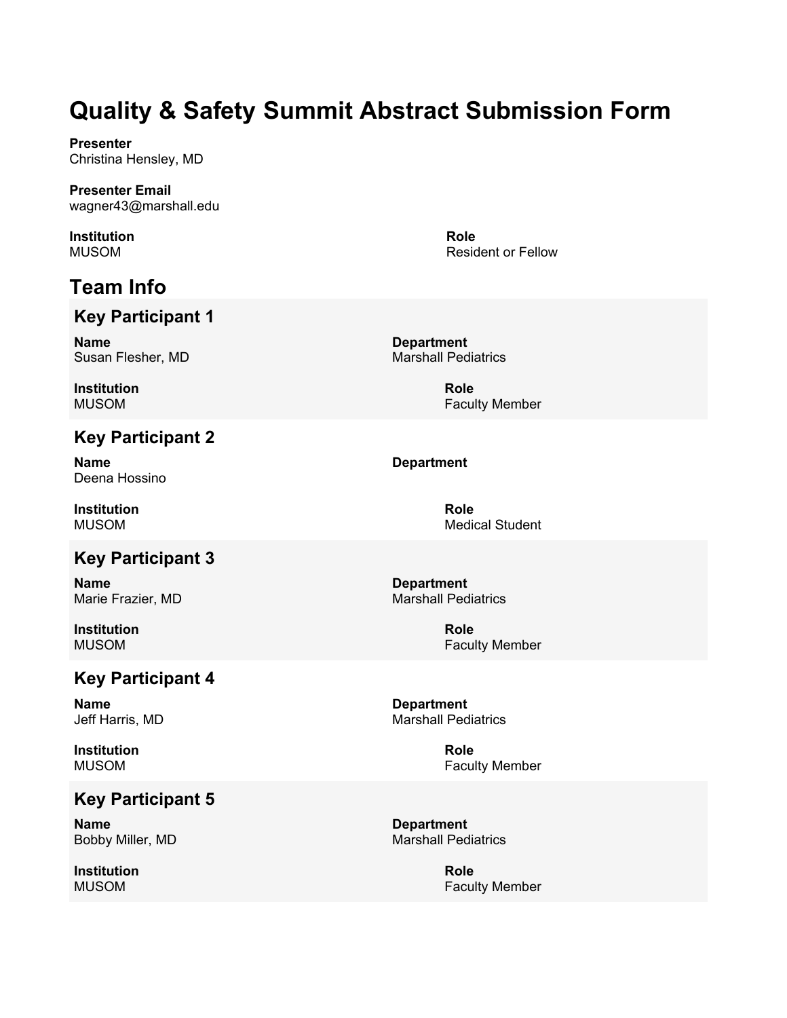**Presenter** Christina Hensley, MD

**Presenter Email** wagner43@marshall.edu

**Institution** MUSOM

# **Team Info**

## **Key Participant 1**

**Name** Susan Flesher, MD

**Institution** MUSOM

## **Key Participant 2**

**Name** Deena Hossino

**Institution** MUSOM

## **Key Participant 3**

**Name** Marie Frazier, MD

**Institution** MUSOM

## **Key Participant 4**

**Name** Jeff Harris, MD

**Institution** MUSOM

### **Key Participant 5**

**Name** Bobby Miller, MD

**Institution** MUSOM

**Role** Resident or Fellow

**Department** Marshall Pediatrics

> **Role** Faculty Member

#### **Department**

**Role** Medical Student

**Department** Marshall Pediatrics

> **Role** Faculty Member

**Department** Marshall Pediatrics

> **Role** Faculty Member

**Department** Marshall Pediatrics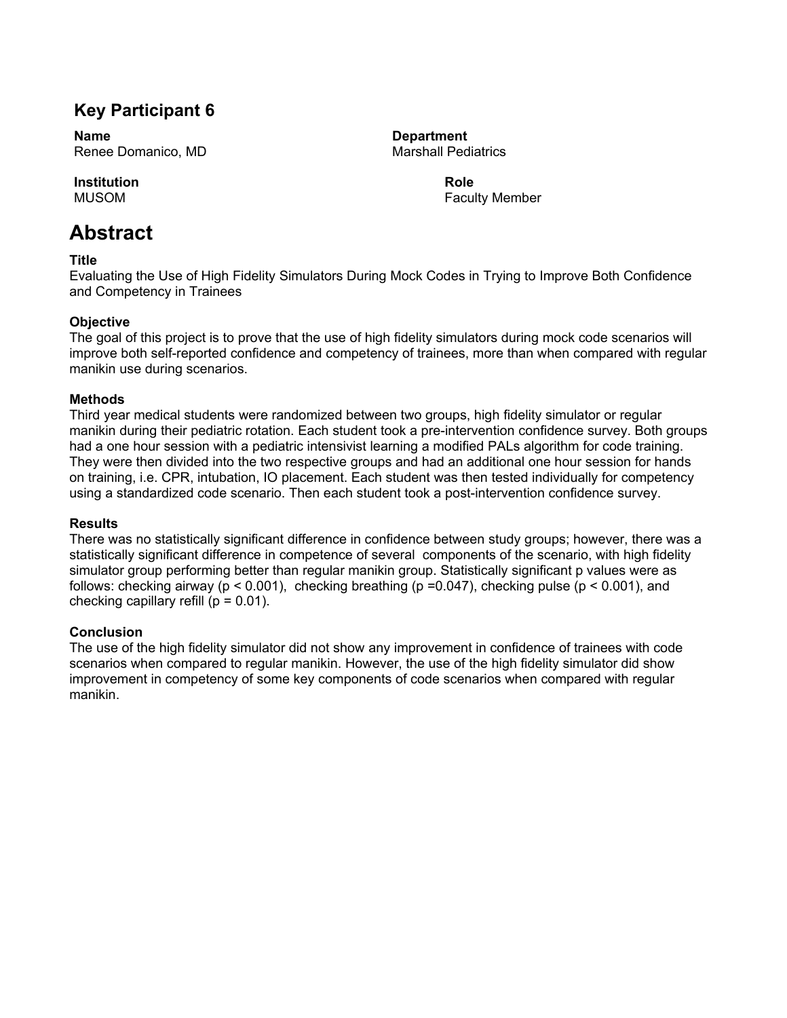## **Key Participant 6**

**Name** Renee Domanico, MD

**Institution** MUSOM

## **Abstract**

#### **Title**

Evaluating the Use of High Fidelity Simulators During Mock Codes in Trying to Improve Both Confidence and Competency in Trainees

#### **Objective**

The goal of this project is to prove that the use of high fidelity simulators during mock code scenarios will improve both self-reported confidence and competency of trainees, more than when compared with regular manikin use during scenarios.

#### **Methods**

Third year medical students were randomized between two groups, high fidelity simulator or regular manikin during their pediatric rotation. Each student took a pre-intervention confidence survey. Both groups had a one hour session with a pediatric intensivist learning a modified PALs algorithm for code training. They were then divided into the two respective groups and had an additional one hour session for hands on training, i.e. CPR, intubation, IO placement. Each student was then tested individually for competency using a standardized code scenario. Then each student took a post-intervention confidence survey.

#### **Results**

There was no statistically significant difference in confidence between study groups; however, there was a statistically significant difference in competence of several components of the scenario, with high fidelity simulator group performing better than regular manikin group. Statistically significant p values were as follows: checking airway ( $p < 0.001$ ), checking breathing ( $p = 0.047$ ), checking pulse ( $p < 0.001$ ), and checking capillary refill ( $p = 0.01$ ).

#### **Conclusion**

The use of the high fidelity simulator did not show any improvement in confidence of trainees with code scenarios when compared to regular manikin. However, the use of the high fidelity simulator did show improvement in competency of some key components of code scenarios when compared with regular manikin.

**Department** Marshall Pediatrics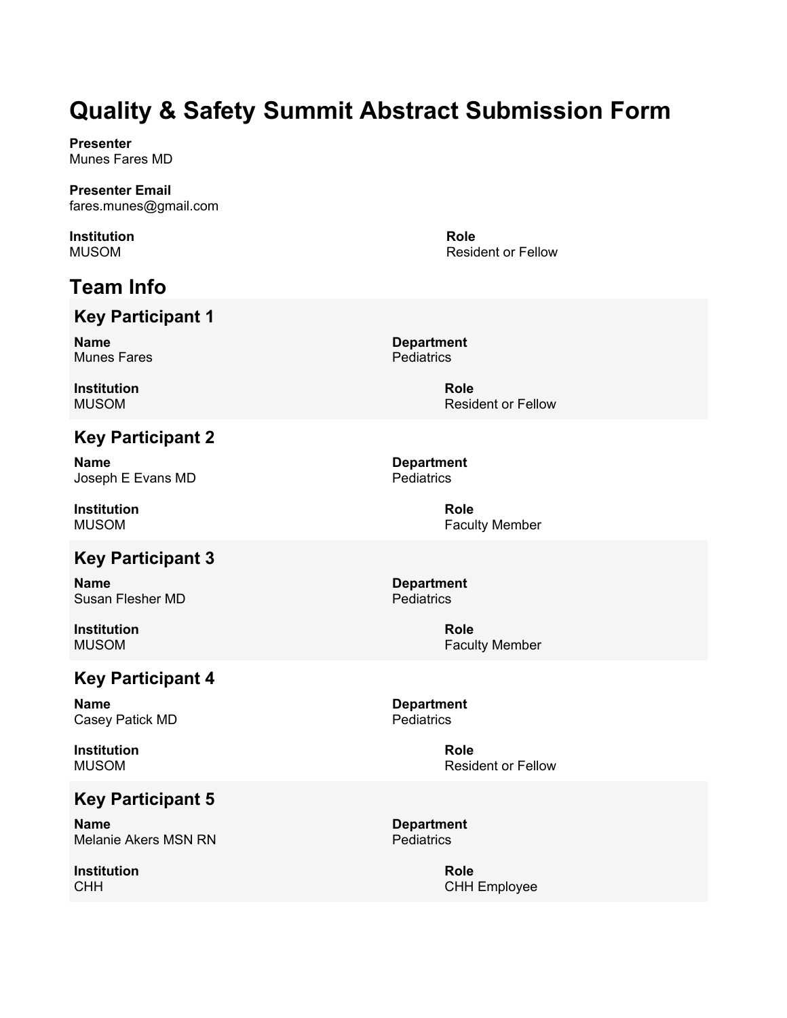**Presenter** Munes Fares MD

**Presenter Email** fares.munes@gmail.com

**Institution** MUSOM

# **Team Info**

## **Key Participant 1**

**Name** Munes Fares

**Institution** MUSOM

## **Key Participant 2**

**Name** Joseph E Evans MD

**Institution** MUSOM

## **Key Participant 3**

**Name** Susan Flesher MD

**Institution** MUSOM

## **Key Participant 4**

**Name** Casey Patick MD

**Institution** MUSOM

## **Key Participant 5**

**Name** Melanie Akers MSN RN

**Institution** CHH

**Role** Resident or Fellow

**Department Pediatrics** 

> **Role** Resident or Fellow

**Department Pediatrics** 

> **Role** Faculty Member

**Department Pediatrics** 

> **Role** Faculty Member

**Department Pediatrics** 

> **Role** Resident or Fellow

**Department Pediatrics** 

> **Role** CHH Employee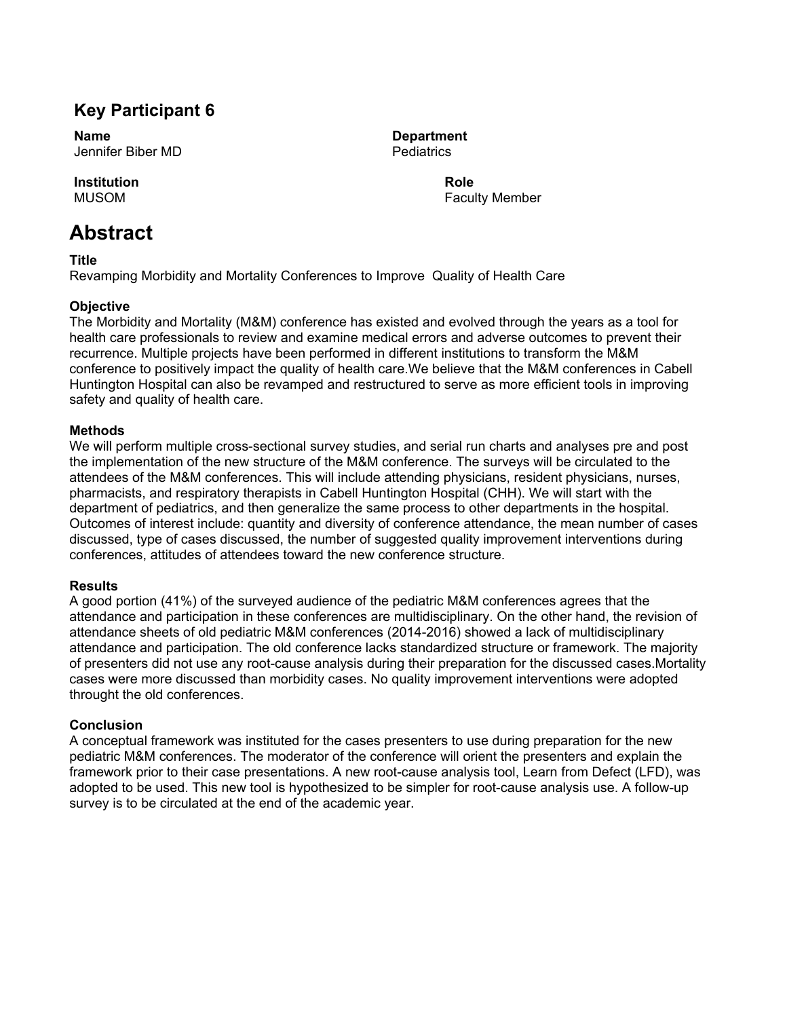## **Key Participant 6**

**Name** Jennifer Biber MD

**Institution** MUSOM

## **Abstract**

**Title**

Revamping Morbidity and Mortality Conferences to Improve Quality of Health Care

#### **Objective**

The Morbidity and Mortality (M&M) conference has existed and evolved through the years as a tool for health care professionals to review and examine medical errors and adverse outcomes to prevent their recurrence. Multiple projects have been performed in different institutions to transform the M&M conference to positively impact the quality of health care.We believe that the M&M conferences in Cabell Huntington Hospital can also be revamped and restructured to serve as more efficient tools in improving safety and quality of health care.

#### **Methods**

We will perform multiple cross-sectional survey studies, and serial run charts and analyses pre and post the implementation of the new structure of the M&M conference. The surveys will be circulated to the attendees of the M&M conferences. This will include attending physicians, resident physicians, nurses, pharmacists, and respiratory therapists in Cabell Huntington Hospital (CHH). We will start with the department of pediatrics, and then generalize the same process to other departments in the hospital. Outcomes of interest include: quantity and diversity of conference attendance, the mean number of cases discussed, type of cases discussed, the number of suggested quality improvement interventions during conferences, attitudes of attendees toward the new conference structure.

#### **Results**

A good portion (41%) of the surveyed audience of the pediatric M&M conferences agrees that the attendance and participation in these conferences are multidisciplinary. On the other hand, the revision of attendance sheets of old pediatric M&M conferences (2014-2016) showed a lack of multidisciplinary attendance and participation. The old conference lacks standardized structure or framework. The majority of presenters did not use any root-cause analysis during their preparation for the discussed cases.Mortality cases were more discussed than morbidity cases. No quality improvement interventions were adopted throught the old conferences.

#### **Conclusion**

A conceptual framework was instituted for the cases presenters to use during preparation for the new pediatric M&M conferences. The moderator of the conference will orient the presenters and explain the framework prior to their case presentations. A new root-cause analysis tool, Learn from Defect (LFD), was adopted to be used. This new tool is hypothesized to be simpler for root-cause analysis use. A follow-up survey is to be circulated at the end of the academic year.

**Department Pediatrics**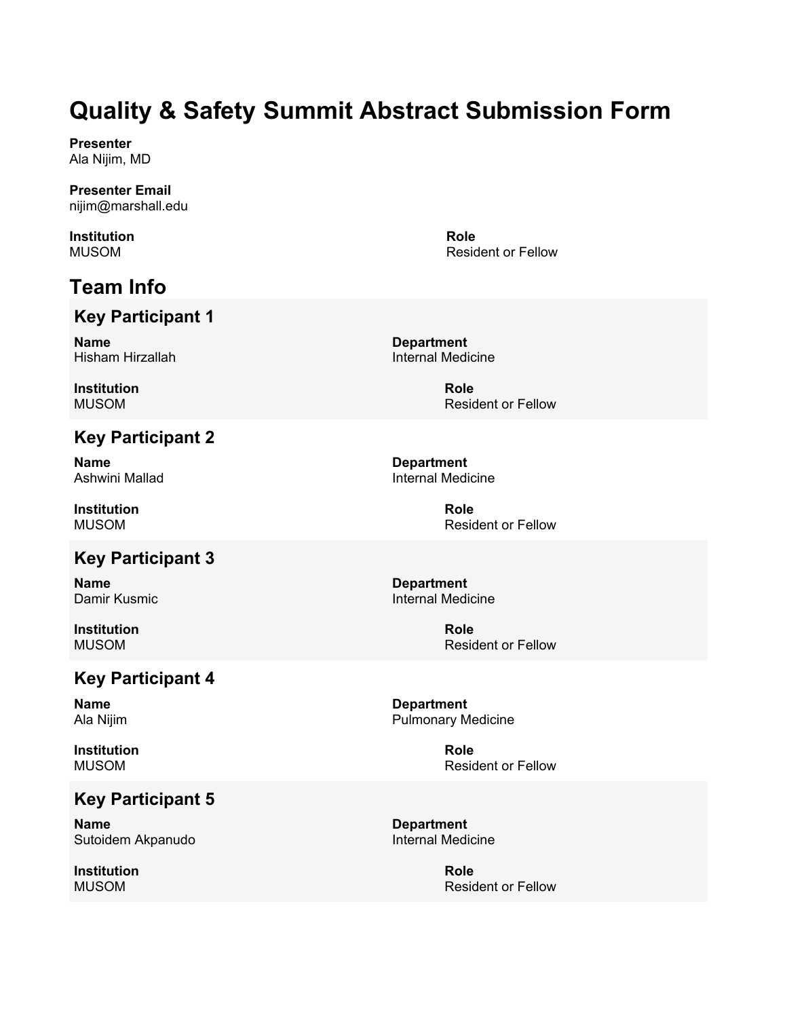**Presenter** Ala Nijim, MD

**Presenter Email** nijim@marshall.edu

**Institution** MUSOM

# **Team Info**

## **Key Participant 1**

**Name** Hisham Hirzallah

**Institution** MUSOM

## **Key Participant 2**

**Name** Ashwini Mallad

**Institution** MUSOM

## **Key Participant 3**

**Name** Damir Kusmic

**Institution** MUSOM

## **Key Participant 4**

**Name** Ala Nijim

**Institution** MUSOM

## **Key Participant 5**

**Name** Sutoidem Akpanudo

**Institution** MUSOM

**Role** Resident or Fellow

**Department** Internal Medicine

> **Role** Resident or Fellow

**Department** Internal Medicine

> **Role** Resident or Fellow

**Department** Internal Medicine

> **Role** Resident or Fellow

**Department** Pulmonary Medicine

> **Role** Resident or Fellow

**Department** Internal Medicine

> **Role** Resident or Fellow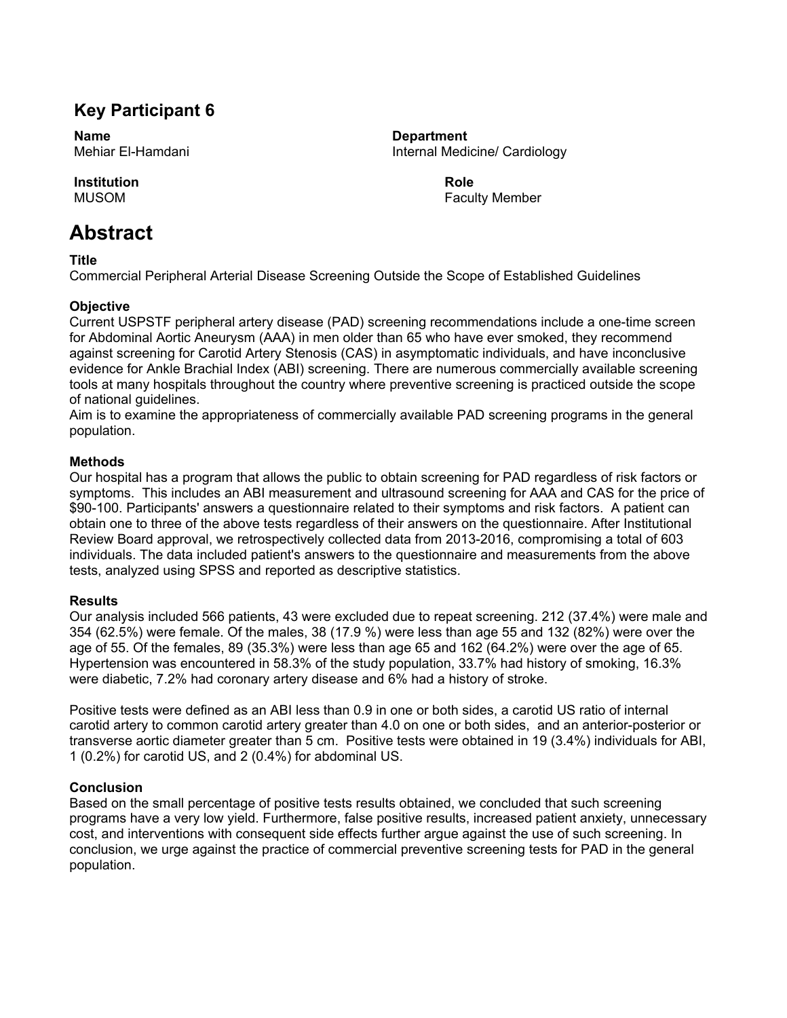## **Key Participant 6**

**Name** Mehiar El-Hamdani

**Institution** MUSOM

## **Abstract**

**Title**

Commercial Peripheral Arterial Disease Screening Outside the Scope of Established Guidelines

#### **Objective**

Current USPSTF peripheral artery disease (PAD) screening recommendations include a one-time screen for Abdominal Aortic Aneurysm (AAA) in men older than 65 who have ever smoked, they recommend against screening for Carotid Artery Stenosis (CAS) in asymptomatic individuals, and have inconclusive evidence for Ankle Brachial Index (ABI) screening. There are numerous commercially available screening tools at many hospitals throughout the country where preventive screening is practiced outside the scope of national guidelines.

Aim is to examine the appropriateness of commercially available PAD screening programs in the general population.

#### **Methods**

Our hospital has a program that allows the public to obtain screening for PAD regardless of risk factors or symptoms. This includes an ABI measurement and ultrasound screening for AAA and CAS for the price of \$90-100. Participants' answers a questionnaire related to their symptoms and risk factors. A patient can obtain one to three of the above tests regardless of their answers on the questionnaire. After Institutional Review Board approval, we retrospectively collected data from 2013-2016, compromising a total of 603 individuals. The data included patient's answers to the questionnaire and measurements from the above tests, analyzed using SPSS and reported as descriptive statistics.

#### **Results**

Our analysis included 566 patients, 43 were excluded due to repeat screening. 212 (37.4%) were male and 354 (62.5%) were female. Of the males, 38 (17.9 %) were less than age 55 and 132 (82%) were over the age of 55. Of the females, 89 (35.3%) were less than age 65 and 162 (64.2%) were over the age of 65. Hypertension was encountered in 58.3% of the study population, 33.7% had history of smoking, 16.3% were diabetic, 7.2% had coronary artery disease and 6% had a history of stroke.

Positive tests were defined as an ABI less than 0.9 in one or both sides, a carotid US ratio of internal carotid artery to common carotid artery greater than 4.0 on one or both sides, and an anterior-posterior or transverse aortic diameter greater than 5 cm. Positive tests were obtained in 19 (3.4%) individuals for ABI, 1 (0.2%) for carotid US, and 2 (0.4%) for abdominal US.

#### **Conclusion**

Based on the small percentage of positive tests results obtained, we concluded that such screening programs have a very low yield. Furthermore, false positive results, increased patient anxiety, unnecessary cost, and interventions with consequent side effects further argue against the use of such screening. In conclusion, we urge against the practice of commercial preventive screening tests for PAD in the general population.

**Department** Internal Medicine/ Cardiology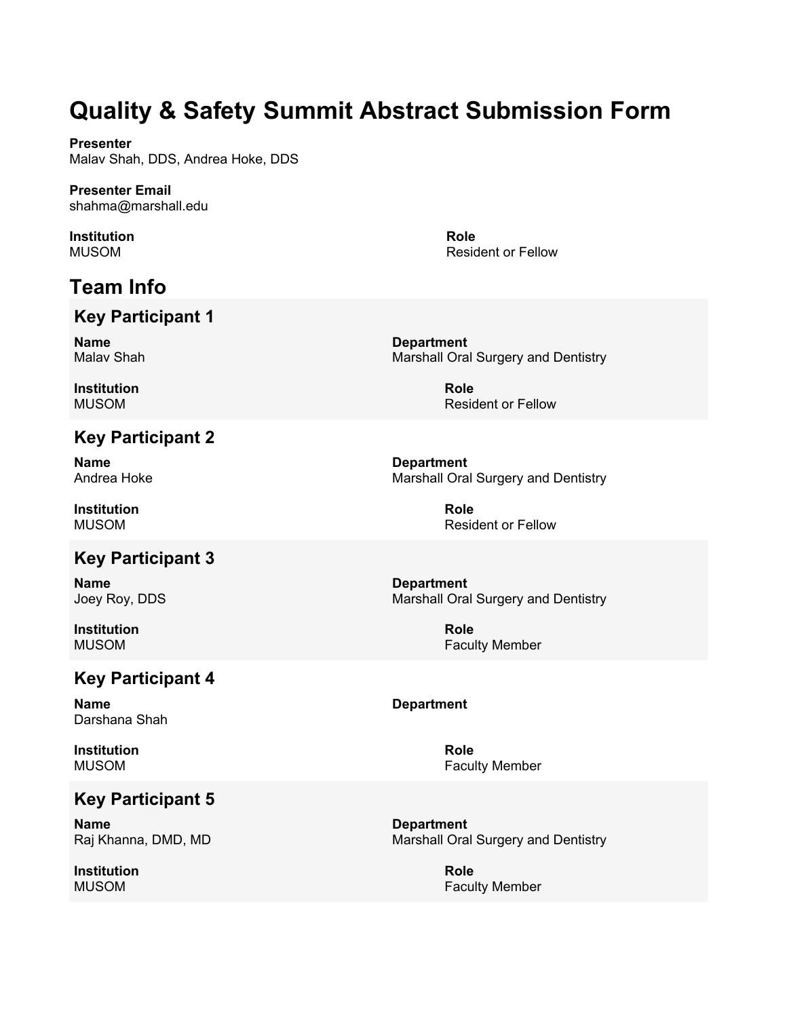**Presenter** Malav Shah, DDS, Andrea Hoke, DDS

**Presenter Email** shahma@marshall.edu

**Institution** MUSOM

# **Team Info**

## **Key Participant 1**

**Name** Malav Shah

**Institution** MUSOM

## **Key Participant 2**

**Name** Andrea Hoke

**Institution** MUSOM

## **Key Participant 3**

**Name** Joey Roy, DDS

**Institution** MUSOM

## **Key Participant 4**

**Name** Darshana Shah

**Institution** MUSOM

## **Key Participant 5**

**Name** Raj Khanna, DMD, MD

**Institution** MUSOM

Resident or Fellow

**Role**

**Department** Marshall Oral Surgery and Dentistry

> **Role** Resident or Fellow

**Department** Marshall Oral Surgery and Dentistry

> **Role** Resident or Fellow

**Department** Marshall Oral Surgery and Dentistry

> **Role** Faculty Member

#### **Department**

**Role** Faculty Member

**Department** Marshall Oral Surgery and Dentistry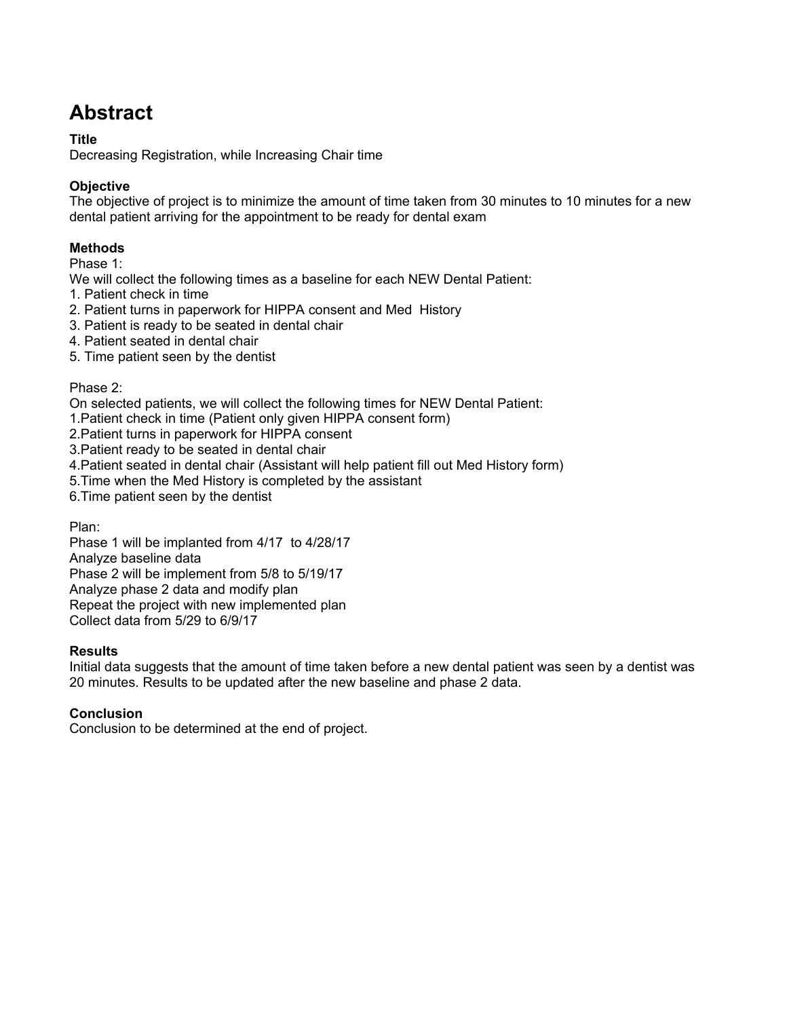# **Abstract**

#### **Title**

Decreasing Registration, while Increasing Chair time

#### **Objective**

The objective of project is to minimize the amount of time taken from 30 minutes to 10 minutes for a new dental patient arriving for the appointment to be ready for dental exam

#### **Methods**

Phase 1:

We will collect the following times as a baseline for each NEW Dental Patient:

- 1. Patient check in time
- 2. Patient turns in paperwork for HIPPA consent and Med History
- 3. Patient is ready to be seated in dental chair
- 4. Patient seated in dental chair
- 5. Time patient seen by the dentist

#### Phase 2:

On selected patients, we will collect the following times for NEW Dental Patient:

- 1.Patient check in time (Patient only given HIPPA consent form)
- 2.Patient turns in paperwork for HIPPA consent
- 3.Patient ready to be seated in dental chair
- 4.Patient seated in dental chair (Assistant will help patient fill out Med History form)
- 5.Time when the Med History is completed by the assistant

6.Time patient seen by the dentist

Plan:

Phase 1 will be implanted from 4/17 to 4/28/17 Analyze baseline data Phase 2 will be implement from 5/8 to 5/19/17 Analyze phase 2 data and modify plan Repeat the project with new implemented plan Collect data from 5/29 to 6/9/17

#### **Results**

Initial data suggests that the amount of time taken before a new dental patient was seen by a dentist was 20 minutes. Results to be updated after the new baseline and phase 2 data.

#### **Conclusion**

Conclusion to be determined at the end of project.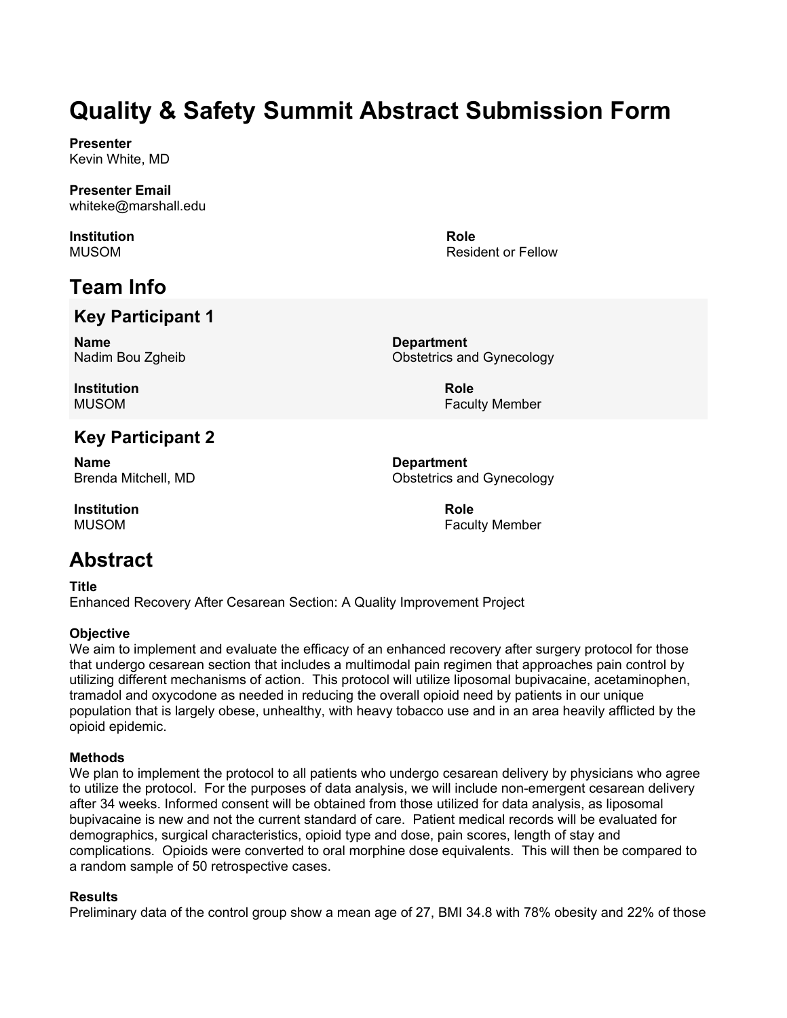**Presenter** Kevin White, MD

**Presenter Email** whiteke@marshall.edu

**Institution** MUSOM

# **Team Info**

## **Key Participant 1**

**Name** Nadim Bou Zgheib

**Department** Obstetrics and Gynecology

**Role**

**Institution** MUSOM

## **Key Participant 2**

**Name** Brenda Mitchell, MD

**Institution** MUSOM

## **Abstract**

**Title** Enhanced Recovery After Cesarean Section: A Quality Improvement Project

#### **Objective**

We aim to implement and evaluate the efficacy of an enhanced recovery after surgery protocol for those that undergo cesarean section that includes a multimodal pain regimen that approaches pain control by utilizing different mechanisms of action. This protocol will utilize liposomal bupivacaine, acetaminophen, tramadol and oxycodone as needed in reducing the overall opioid need by patients in our unique population that is largely obese, unhealthy, with heavy tobacco use and in an area heavily afflicted by the opioid epidemic.

#### **Methods**

We plan to implement the protocol to all patients who undergo cesarean delivery by physicians who agree to utilize the protocol. For the purposes of data analysis, we will include non-emergent cesarean delivery after 34 weeks. Informed consent will be obtained from those utilized for data analysis, as liposomal bupivacaine is new and not the current standard of care. Patient medical records will be evaluated for demographics, surgical characteristics, opioid type and dose, pain scores, length of stay and complications. Opioids were converted to oral morphine dose equivalents. This will then be compared to a random sample of 50 retrospective cases.

#### **Results**

Preliminary data of the control group show a mean age of 27, BMI 34.8 with 78% obesity and 22% of those

Resident or Fellow

**Role** Faculty Member

**Department** Obstetrics and Gynecology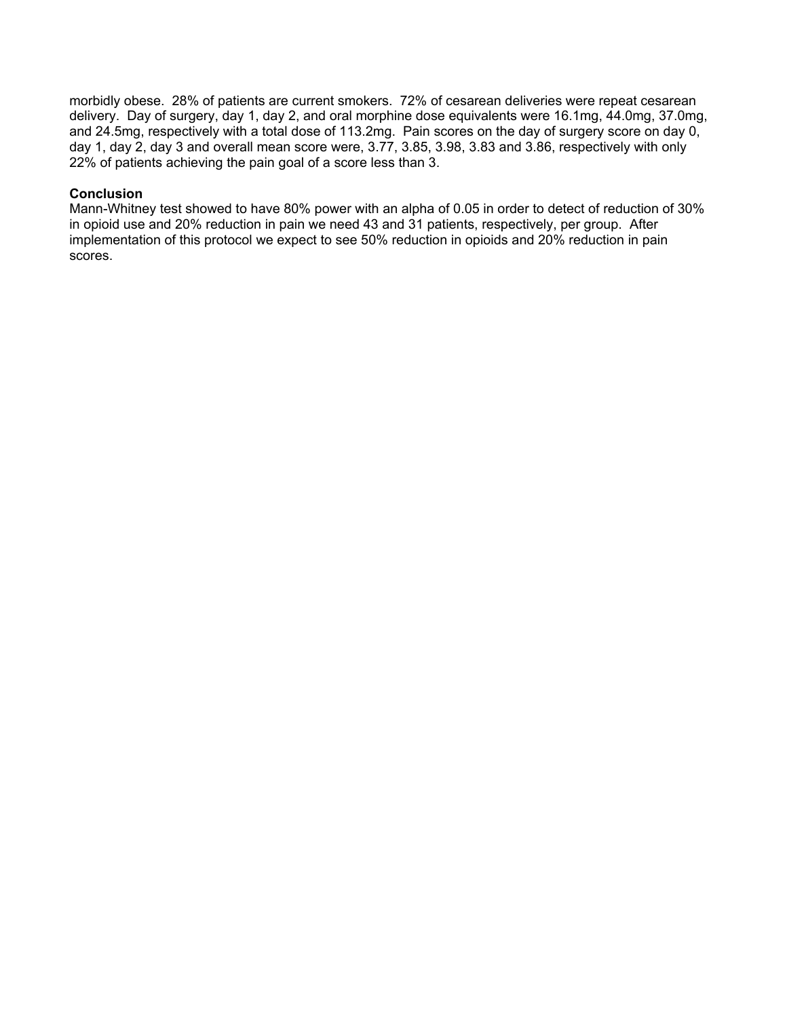morbidly obese. 28% of patients are current smokers. 72% of cesarean deliveries were repeat cesarean delivery. Day of surgery, day 1, day 2, and oral morphine dose equivalents were 16.1mg, 44.0mg, 37.0mg, and 24.5mg, respectively with a total dose of 113.2mg. Pain scores on the day of surgery score on day 0, day 1, day 2, day 3 and overall mean score were, 3.77, 3.85, 3.98, 3.83 and 3.86, respectively with only 22% of patients achieving the pain goal of a score less than 3.

#### **Conclusion**

Mann-Whitney test showed to have 80% power with an alpha of 0.05 in order to detect of reduction of 30% in opioid use and 20% reduction in pain we need 43 and 31 patients, respectively, per group. After implementation of this protocol we expect to see 50% reduction in opioids and 20% reduction in pain scores.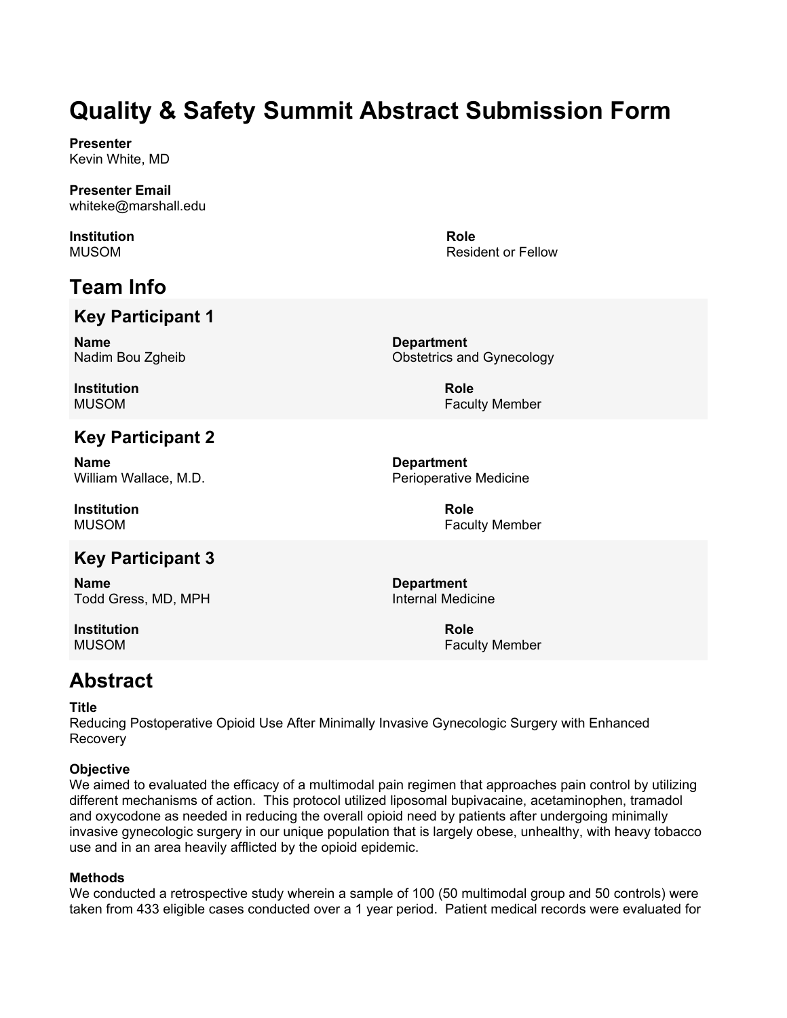**Presenter** Kevin White, MD

**Presenter Email** whiteke@marshall.edu

**Institution** MUSOM

# **Team Info**

## **Key Participant 1**

**Name** Nadim Bou Zgheib

**Institution** MUSOM

## **Key Participant 2**

**Name** William Wallace, M.D.

**Institution** MUSOM

## **Key Participant 3**

**Name** Todd Gress, MD, MPH

**Institution** MUSOM

**Role** Resident or Fellow

**Department** Obstetrics and Gynecology

> **Role** Faculty Member

**Department** Perioperative Medicine

> **Role** Faculty Member

**Department** Internal Medicine

> **Role** Faculty Member

## **Abstract**

#### **Title**

Reducing Postoperative Opioid Use After Minimally Invasive Gynecologic Surgery with Enhanced Recovery

#### **Objective**

We aimed to evaluated the efficacy of a multimodal pain regimen that approaches pain control by utilizing different mechanisms of action. This protocol utilized liposomal bupivacaine, acetaminophen, tramadol and oxycodone as needed in reducing the overall opioid need by patients after undergoing minimally invasive gynecologic surgery in our unique population that is largely obese, unhealthy, with heavy tobacco use and in an area heavily afflicted by the opioid epidemic.

#### **Methods**

We conducted a retrospective study wherein a sample of 100 (50 multimodal group and 50 controls) were taken from 433 eligible cases conducted over a 1 year period. Patient medical records were evaluated for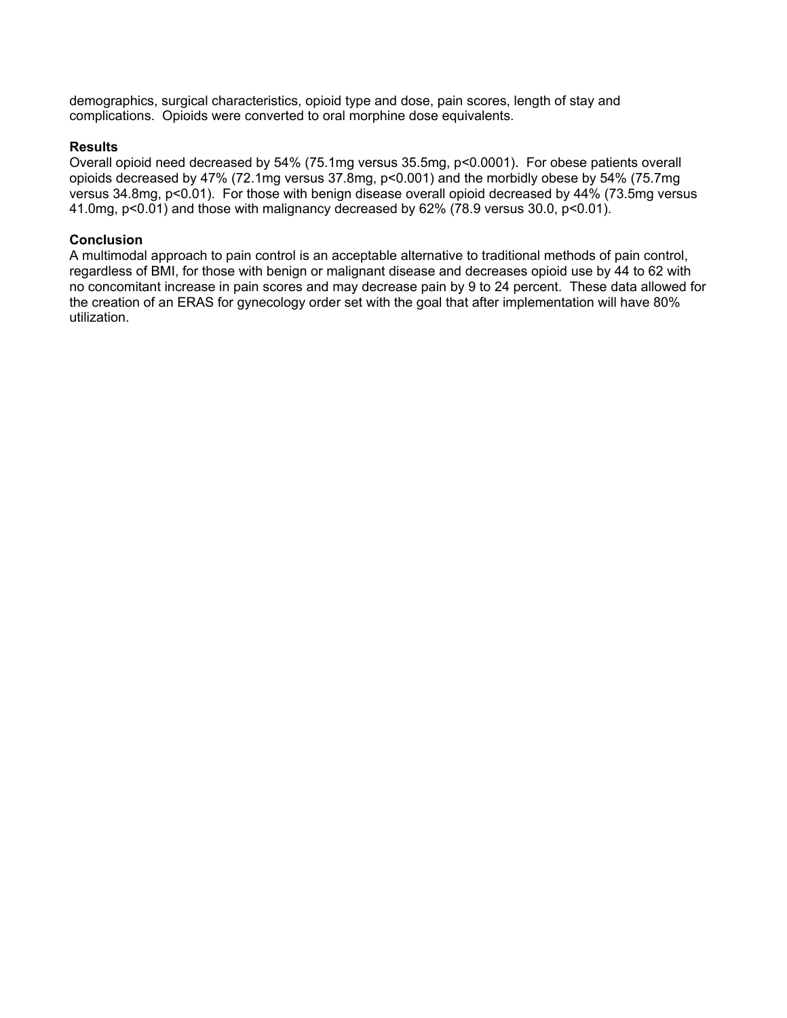demographics, surgical characteristics, opioid type and dose, pain scores, length of stay and complications. Opioids were converted to oral morphine dose equivalents.

#### **Results**

Overall opioid need decreased by 54% (75.1mg versus 35.5mg, p<0.0001). For obese patients overall opioids decreased by 47% (72.1mg versus 37.8mg, p<0.001) and the morbidly obese by 54% (75.7mg versus 34.8mg, p<0.01). For those with benign disease overall opioid decreased by 44% (73.5mg versus 41.0mg, p<0.01) and those with malignancy decreased by 62% (78.9 versus 30.0, p<0.01).

#### **Conclusion**

A multimodal approach to pain control is an acceptable alternative to traditional methods of pain control, regardless of BMI, for those with benign or malignant disease and decreases opioid use by 44 to 62 with no concomitant increase in pain scores and may decrease pain by 9 to 24 percent. These data allowed for the creation of an ERAS for gynecology order set with the goal that after implementation will have 80% utilization.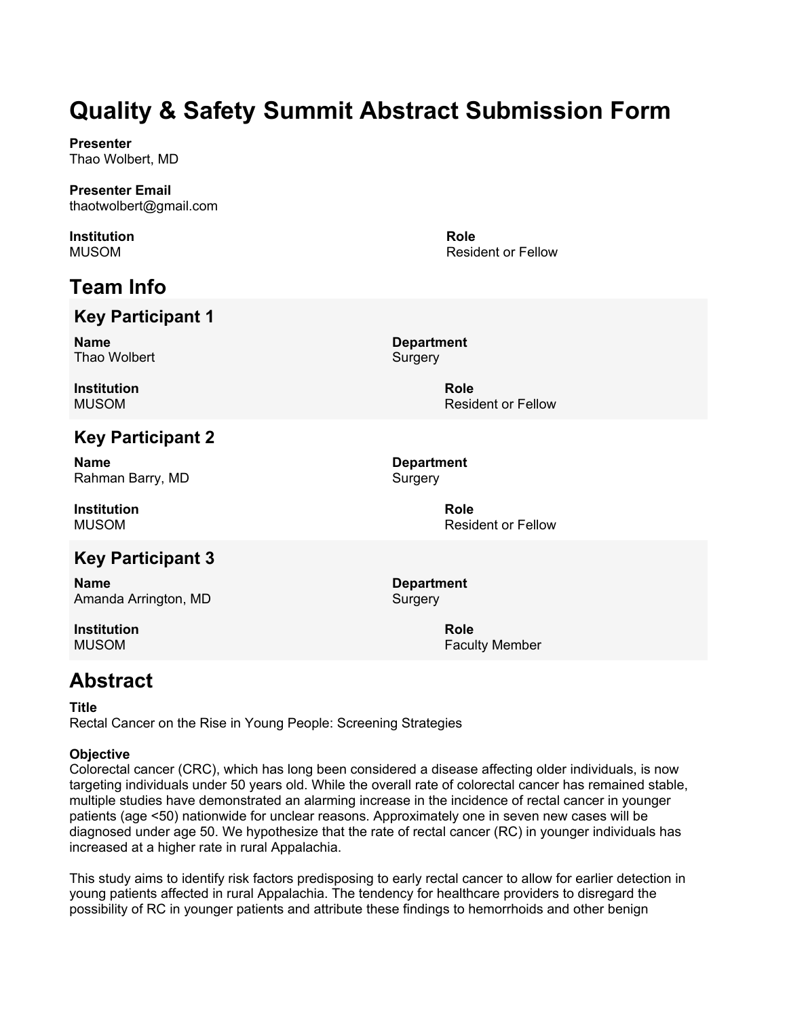**Presenter** Thao Wolbert, MD

#### **Presenter Email** thaotwolbert@gmail.com

**Institution** MUSOM

# **Team Info**

## **Key Participant 1**

**Name** Thao Wolbert **Department Surgery** 

**Role**

**Role**

Resident or Fellow

**Institution** MUSOM

## **Key Participant 2**

**Name** Rahman Barry, MD

**Institution** MUSOM

## **Key Participant 3**

**Name** Amanda Arrington, MD

**Institution** MUSOM

**Department Surgery** 

> **Role** Resident or Fellow

Resident or Fellow

**Department** Surgery

> **Role** Faculty Member

## **Abstract**

#### **Title**

Rectal Cancer on the Rise in Young People: Screening Strategies

#### **Objective**

Colorectal cancer (CRC), which has long been considered a disease affecting older individuals, is now targeting individuals under 50 years old. While the overall rate of colorectal cancer has remained stable, multiple studies have demonstrated an alarming increase in the incidence of rectal cancer in younger patients (age <50) nationwide for unclear reasons. Approximately one in seven new cases will be diagnosed under age 50. We hypothesize that the rate of rectal cancer (RC) in younger individuals has increased at a higher rate in rural Appalachia.

This study aims to identify risk factors predisposing to early rectal cancer to allow for earlier detection in young patients affected in rural Appalachia. The tendency for healthcare providers to disregard the possibility of RC in younger patients and attribute these findings to hemorrhoids and other benign